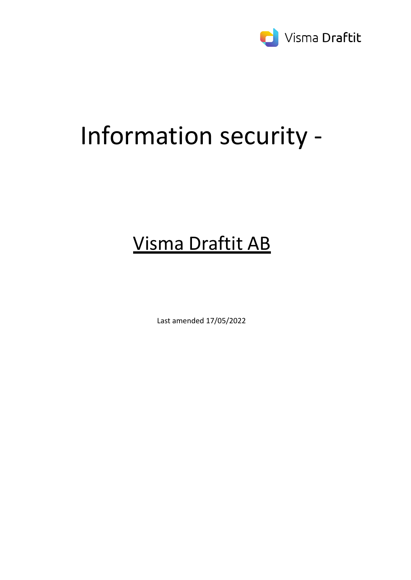

# Information security -

# Visma Draftit AB

Last amended 17/05/2022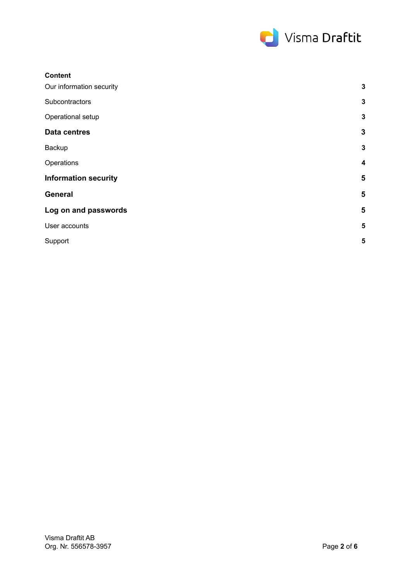

| <b>Content</b>              |                         |
|-----------------------------|-------------------------|
| Our information security    | $\mathbf 3$             |
| Subcontractors              | $\mathbf 3$             |
| Operational setup           | $\mathbf 3$             |
| <b>Data centres</b>         | $\mathbf{3}$            |
| Backup                      | $\mathbf{3}$            |
| Operations                  | $\boldsymbol{4}$        |
| <b>Information security</b> | $5\phantom{1}$          |
| <b>General</b>              | 5                       |
| Log on and passwords        | 5                       |
| User accounts               | $\overline{\mathbf{5}}$ |
| Support                     | 5                       |
|                             |                         |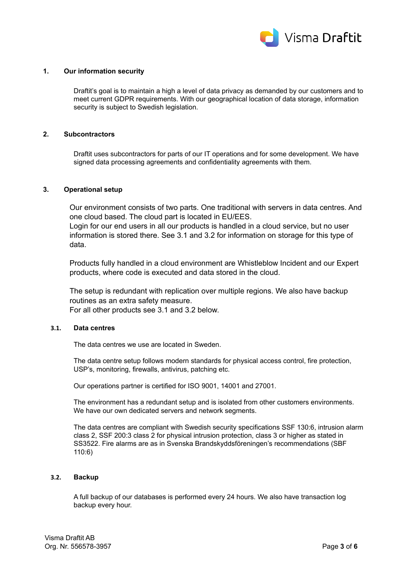

# <span id="page-2-0"></span>**1. Our information security**

Draftit's goal is to maintain a high a level of data privacy as demanded by our customers and to meet current GDPR requirements. With our geographical location of data storage, information security is subject to Swedish legislation.

# <span id="page-2-1"></span>**2. Subcontractors**

Draftit uses subcontractors for parts of our IT operations and for some development. We have signed data processing agreements and confidentiality agreements with them.

# <span id="page-2-2"></span>**3. Operational setup**

Our environment consists of two parts. One traditional with servers in data centres. And one cloud based. The cloud part is located in EU/EES.

Login for our end users in all our products is handled in a cloud service, but no user information is stored there. See 3.1 and 3.2 for information on storage for this type of data.

Products fully handled in a cloud environment are Whistleblow Incident and our Expert products, where code is executed and data stored in the cloud.

The setup is redundant with replication over multiple regions. We also have backup routines as an extra safety measure. For all other products see 3.1 and 3.2 below.

# <span id="page-2-3"></span>**3.1. Data centres**

The data centres we use are located in Sweden.

The data centre setup follows modern standards for physical access control, fire protection, USP's, monitoring, firewalls, antivirus, patching etc.

Our operations partner is certified for ISO 9001, 14001 and 27001.

The environment has a redundant setup and is isolated from other customers environments. We have our own dedicated servers and network segments.

The data centres are compliant with Swedish security specifications SSF 130:6, intrusion alarm class 2, SSF 200:3 class 2 for physical intrusion protection, class 3 or higher as stated in SS3522. Fire alarms are as in Svenska Brandskyddsföreningen's recommendations (SBF 110:6)

# <span id="page-2-4"></span>**3.2. Backup**

A full backup of our databases is performed every 24 hours. We also have transaction log backup every hour.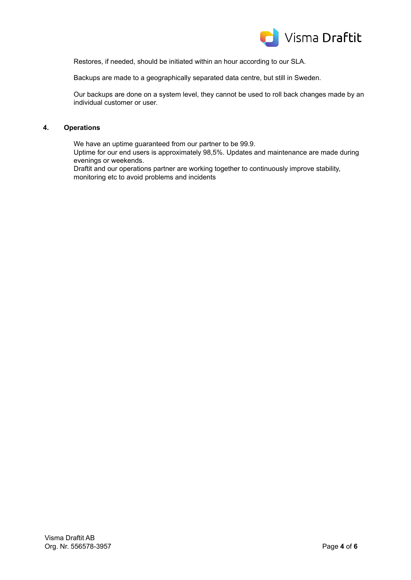

Restores, if needed, should be initiated within an hour according to our SLA.

Backups are made to a geographically separated data centre, but still in Sweden.

Our backups are done on a system level, they cannot be used to roll back changes made by an individual customer or user.

# <span id="page-3-0"></span>**4. Operations**

We have an uptime guaranteed from our partner to be 99.9.

Uptime for our end users is approximately 98,5%. Updates and maintenance are made during evenings or weekends.

Draftit and our operations partner are working together to continuously improve stability, monitoring etc to avoid problems and incidents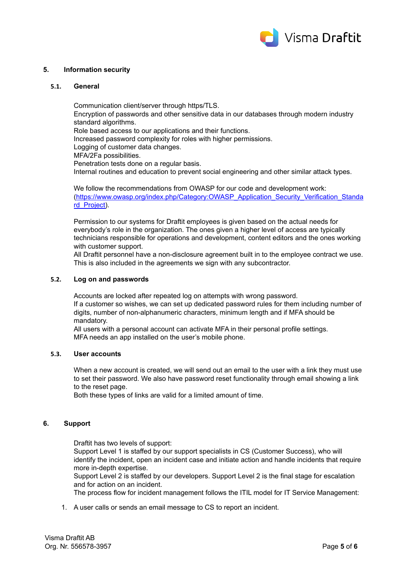

# <span id="page-4-0"></span>**5. Information security**

# <span id="page-4-1"></span>**5.1. General**

Communication client/server through https/TLS. Encryption of passwords and other sensitive data in our databases through modern industry standard algorithms. Role based access to our applications and their functions. Increased password complexity for roles with higher permissions. Logging of customer data changes. MFA/2Fa possibilities. Penetration tests done on a regular basis. Internal routines and education to prevent social engineering and other similar attack types.

We follow the recommendations from OWASP for our code and development work: [\(https://www.owasp.org/index.php/Category:OWASP\\_Application\\_Security\\_Verification\\_Standa](https://www.owasp.org/index.php/Category:OWASP_Application_Security_Verification_Standard_Project) [rd\\_Project\)](https://www.owasp.org/index.php/Category:OWASP_Application_Security_Verification_Standard_Project).

Permission to our systems for Draftit employees is given based on the actual needs for everybody's role in the organization. The ones given a higher level of access are typically technicians responsible for operations and development, content editors and the ones working with customer support.

All Draftit personnel have a non-disclosure agreement built in to the employee contract we use. This is also included in the agreements we sign with any subcontractor.

#### <span id="page-4-2"></span>**5.2. Log on and passwords**

Accounts are locked after repeated log on attempts with wrong password. If a customer so wishes, we can set up dedicated password rules for them including number of digits, number of non-alphanumeric characters, minimum length and if MFA should be mandatory.

All users with a personal account can activate MFA in their personal profile settings. MFA needs an app installed on the user's mobile phone.

#### <span id="page-4-3"></span>**5.3. User accounts**

When a new account is created, we will send out an email to the user with a link they must use to set their password. We also have password reset functionality through email showing a link to the reset page.

Both these types of links are valid for a limited amount of time.

#### <span id="page-4-4"></span>**6. Support**

Draftit has two levels of support:

Support Level 1 is staffed by our support specialists in CS (Customer Success), who will identify the incident, open an incident case and initiate action and handle incidents that require more in-depth expertise.

Support Level 2 is staffed by our developers. Support Level 2 is the final stage for escalation and for action on an incident.

The process flow for incident management follows the ITIL model for IT Service Management:

1. A user calls or sends an email message to CS to report an incident.